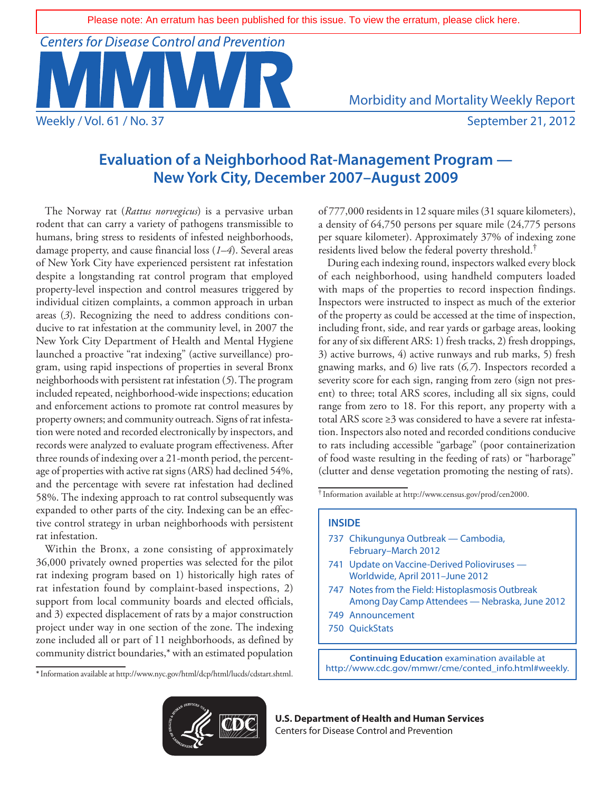[Please note: An erratum has been published for this issue. To view the erratum, please click here.](http://www.cdc.gov/mmwr/PDF/wk/mm6141.pdf)

**Centers for Disease Control and Prevention** 

Morbidity and Mortality Weekly Report Weekly / Vol. 61 / No. 37 September 21, 2012

# **Evaluation of a Neighborhood Rat-Management Program — New York City, December 2007–August 2009**

The Norway rat (*Rattus norvegicus*) is a pervasive urban rodent that can carry a variety of pathogens transmissible to humans, bring stress to residents of infested neighborhoods, damage property, and cause financial loss (*1–4*). Several areas of New York City have experienced persistent rat infestation despite a longstanding rat control program that employed property-level inspection and control measures triggered by individual citizen complaints, a common approach in urban areas (*3*). Recognizing the need to address conditions conducive to rat infestation at the community level, in 2007 the New York City Department of Health and Mental Hygiene launched a proactive "rat indexing" (active surveillance) program, using rapid inspections of properties in several Bronx neighborhoods with persistent rat infestation (*5*). The program included repeated, neighborhood-wide inspections; education and enforcement actions to promote rat control measures by property owners; and community outreach. Signs of rat infestation were noted and recorded electronically by inspectors, and records were analyzed to evaluate program effectiveness. After three rounds of indexing over a 21-month period, the percentage of properties with active rat signs (ARS) had declined 54%, and the percentage with severe rat infestation had declined 58%. The indexing approach to rat control subsequently was expanded to other parts of the city. Indexing can be an effective control strategy in urban neighborhoods with persistent rat infestation.

Within the Bronx, a zone consisting of approximately 36,000 privately owned properties was selected for the pilot rat indexing program based on 1) historically high rates of rat infestation found by complaint-based inspections, 2) support from local community boards and elected officials, and 3) expected displacement of rats by a major construction project under way in one section of the zone. The indexing zone included all or part of 11 neighborhoods, as defined by community district boundaries,\* with an estimated population

**\*** Information available at http://www.nyc.gov/html/dcp/html/lucds/cdstart.shtml.

of 777,000 residents in 12 square miles (31 square kilometers), a density of 64,750 persons per square mile (24,775 persons per square kilometer). Approximately 37% of indexing zone residents lived below the federal poverty threshold.†

During each indexing round, inspectors walked every block of each neighborhood, using handheld computers loaded with maps of the properties to record inspection findings. Inspectors were instructed to inspect as much of the exterior of the property as could be accessed at the time of inspection, including front, side, and rear yards or garbage areas, looking for any of six different ARS: 1) fresh tracks, 2) fresh droppings, 3) active burrows, 4) active runways and rub marks, 5) fresh gnawing marks, and 6) live rats (*6,7*). Inspectors recorded a severity score for each sign, ranging from zero (sign not present) to three; total ARS scores, including all six signs, could range from zero to 18. For this report, any property with a total ARS score ≥3 was considered to have a severe rat infestation. Inspectors also noted and recorded conditions conducive to rats including accessible "garbage" (poor containerization of food waste resulting in the feeding of rats) or "harborage" (clutter and dense vegetation promoting the nesting of rats).

† Information available at http://www.census.gov/prod/cen2000.

## **INSIDE**

- 737 [Chikungunya Outbreak Cambodia,](#page-4-0)  [February–March 2012](#page-4-0)
- 741 [Update on Vaccine-Derived Polioviruses](#page-8-0)  [Worldwide, April 2011–June 2012](#page-8-0)
- [747](#page-14-0) Notes from the Field: Histoplasmosis Outbreak Among Day Camp Attendees — Nebraska, June 2012
- 749 [Announcement](#page-16-0)
- 750 [QuickStats](#page-17-0)

**Continuing Education** examination available at http://www.cdc.gov/mmwr/cme/conted\_info.html#weekly.



**U.S. Department of Health and Human Services** Centers for Disease Control and Prevention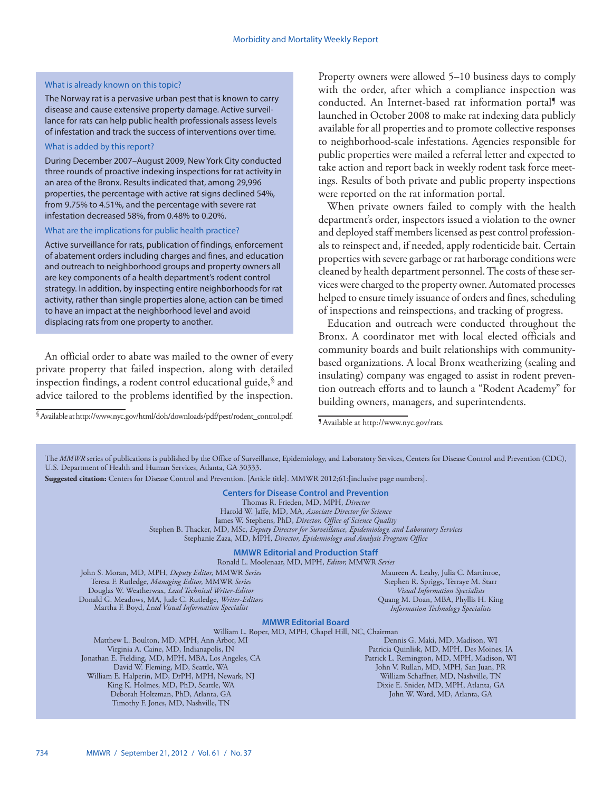#### What is already known on this topic?

The Norway rat is a pervasive urban pest that is known to carry disease and cause extensive property damage. Active surveillance for rats can help public health professionals assess levels of infestation and track the success of interventions over time.

## What is added by this report?

During December 2007–August 2009, New York City conducted three rounds of proactive indexing inspections for rat activity in an area of the Bronx. Results indicated that, among 29,996 properties, the percentage with active rat signs declined 54%, from 9.75% to 4.51%, and the percentage with severe rat infestation decreased 58%, from 0.48% to 0.20%.

## What are the implications for public health practice?

Active surveillance for rats, publication of findings, enforcement of abatement orders including charges and fines, and education and outreach to neighborhood groups and property owners all are key components of a health department's rodent control strategy. In addition, by inspecting entire neighborhoods for rat activity, rather than single properties alone, action can be timed to have an impact at the neighborhood level and avoid displacing rats from one property to another.

An official order to abate was mailed to the owner of every private property that failed inspection, along with detailed inspection findings, a rodent control educational guide,§ and advice tailored to the problems identified by the inspection.

§Available at http://www.nyc.gov/html/doh/downloads/pdf/pest/rodent\_control.pdf. ¶Available at http://www.nyc.gov/rats.

Property owners were allowed 5–10 business days to comply with the order, after which a compliance inspection was conducted. An Internet-based rat information portal<sup>9</sup> was launched in October 2008 to make rat indexing data publicly available for all properties and to promote collective responses to neighborhood-scale infestations. Agencies responsible for public properties were mailed a referral letter and expected to take action and report back in weekly rodent task force meetings. Results of both private and public property inspections were reported on the rat information portal.

When private owners failed to comply with the health department's order, inspectors issued a violation to the owner and deployed staff members licensed as pest control professionals to reinspect and, if needed, apply rodenticide bait. Certain properties with severe garbage or rat harborage conditions were cleaned by health department personnel. The costs of these services were charged to the property owner. Automated processes helped to ensure timely issuance of orders and fines, scheduling of inspections and reinspections, and tracking of progress.

Education and outreach were conducted throughout the Bronx. A coordinator met with local elected officials and community boards and built relationships with communitybased organizations. A local Bronx weatherizing (sealing and insulating) company was engaged to assist in rodent prevention outreach efforts and to launch a "Rodent Academy" for building owners, managers, and superintendents.

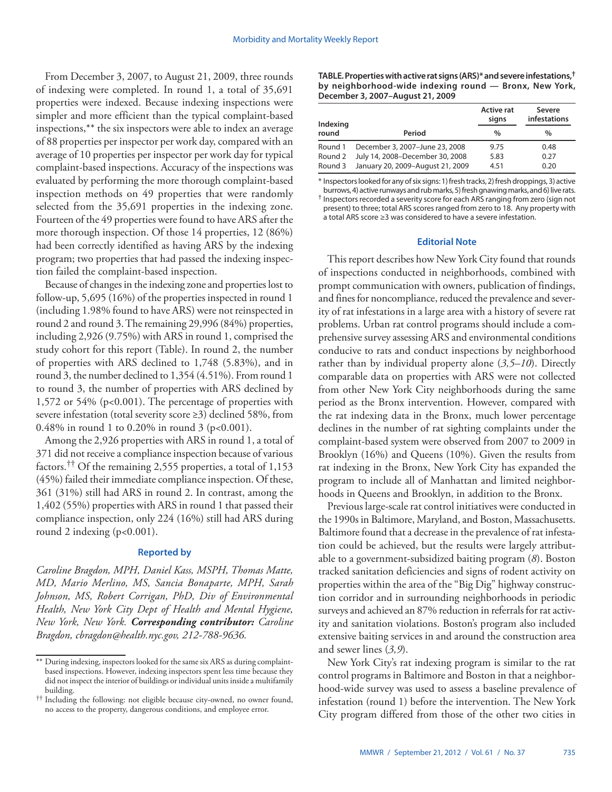From December 3, 2007, to August 21, 2009, three rounds of indexing were completed. In round 1, a total of 35,691 properties were indexed. Because indexing inspections were simpler and more efficient than the typical complaint-based inspections,\*\* the six inspectors were able to index an average of 88 properties per inspector per work day, compared with an average of 10 properties per inspector per work day for typical complaint-based inspections. Accuracy of the inspections was evaluated by performing the more thorough complaint-based inspection methods on 49 properties that were randomly selected from the 35,691 properties in the indexing zone. Fourteen of the 49 properties were found to have ARS after the more thorough inspection. Of those 14 properties, 12 (86%) had been correctly identified as having ARS by the indexing program; two properties that had passed the indexing inspection failed the complaint-based inspection.

Because of changes in the indexing zone and properties lost to follow-up, 5,695 (16%) of the properties inspected in round 1 (including 1.98% found to have ARS) were not reinspected in round 2 and round 3. The remaining 29,996 (84%) properties, including 2,926 (9.75%) with ARS in round 1, comprised the study cohort for this report (Table). In round 2, the number of properties with ARS declined to 1,748 (5.83%), and in round 3, the number declined to 1,354 (4.51%). From round 1 to round 3, the number of properties with ARS declined by 1,572 or 54% (p<0.001). The percentage of properties with severe infestation (total severity score ≥3) declined 58%, from 0.48% in round 1 to 0.20% in round 3 (p<0.001).

Among the 2,926 properties with ARS in round 1, a total of 371 did not receive a compliance inspection because of various factors.<sup>††</sup> Of the remaining 2,555 properties, a total of  $1,153$ (45%) failed their immediate compliance inspection. Of these, 361 (31%) still had ARS in round 2. In contrast, among the 1,402 (55%) properties with ARS in round 1 that passed their compliance inspection, only 224 (16%) still had ARS during round 2 indexing  $(p<0.001)$ .

## **Reported by**

*Caroline Bragdon, MPH, Daniel Kass, MSPH, Thomas Matte, MD, Mario Merlino, MS, Sancia Bonaparte, MPH, Sarah Johnson, MS, Robert Corrigan, PhD, Div of Environmental Health, New York City Dept of Health and Mental Hygiene, New York, New York. Corresponding contributor: Caroline Bragdon, cbragdon@health.nyc.gov, 212-788-9636.* 

**TABLE. Properties with active rat signs (ARS)\* and severe infestations,† by neighborhood-wide indexing round — Bronx, New York, December 3, 2007–August 21, 2009**

| Indexing |                                  | <b>Active rat</b><br>signs | Severe<br>infestations |  |
|----------|----------------------------------|----------------------------|------------------------|--|
| round    | Period                           | $\frac{0}{0}$              | $\%$                   |  |
| Round 1  | December 3, 2007-June 23, 2008   | 9.75                       | 0.48                   |  |
| Round 2  | July 14, 2008-December 30, 2008  | 5.83                       | 0.27                   |  |
| Round 3  | January 20, 2009-August 21, 2009 | 4.51                       | 0.20                   |  |

\* Inspectors looked for any of six signs: 1) fresh tracks, 2) fresh droppings, 3) active burrows, 4) active runways and rub marks, 5) fresh gnawing marks, and 6) live rats. † Inspectors recorded a severity score for each ARS ranging from zero (sign not present) to three; total ARS scores ranged from zero to 18. Any property with a total ARS score ≥3 was considered to have a severe infestation.

## **Editorial Note**

This report describes how New York City found that rounds of inspections conducted in neighborhoods, combined with prompt communication with owners, publication of findings, and fines for noncompliance, reduced the prevalence and severity of rat infestations in a large area with a history of severe rat problems. Urban rat control programs should include a comprehensive survey assessing ARS and environmental conditions conducive to rats and conduct inspections by neighborhood rather than by individual property alone (*3,5–10*). Directly comparable data on properties with ARS were not collected from other New York City neighborhoods during the same period as the Bronx intervention. However, compared with the rat indexing data in the Bronx, much lower percentage declines in the number of rat sighting complaints under the complaint-based system were observed from 2007 to 2009 in Brooklyn (16%) and Queens (10%). Given the results from rat indexing in the Bronx, New York City has expanded the program to include all of Manhattan and limited neighborhoods in Queens and Brooklyn, in addition to the Bronx.

Previous large-scale rat control initiatives were conducted in the 1990s in Baltimore, Maryland, and Boston, Massachusetts. Baltimore found that a decrease in the prevalence of rat infestation could be achieved, but the results were largely attributable to a government-subsidized baiting program (*8*). Boston tracked sanitation deficiencies and signs of rodent activity on properties within the area of the "Big Dig" highway construction corridor and in surrounding neighborhoods in periodic surveys and achieved an 87% reduction in referrals for rat activity and sanitation violations. Boston's program also included extensive baiting services in and around the construction area and sewer lines (*3,9*).

New York City's rat indexing program is similar to the rat control programs in Baltimore and Boston in that a neighborhood-wide survey was used to assess a baseline prevalence of infestation (round 1) before the intervention. The New York City program differed from those of the other two cities in

<sup>\*\*</sup> During indexing, inspectors looked for the same six ARS as during complaintbased inspections. However, indexing inspectors spent less time because they did not inspect the interior of buildings or individual units inside a multifamily building.

<sup>††</sup> Including the following: not eligible because city-owned, no owner found, no access to the property, dangerous conditions, and employee error.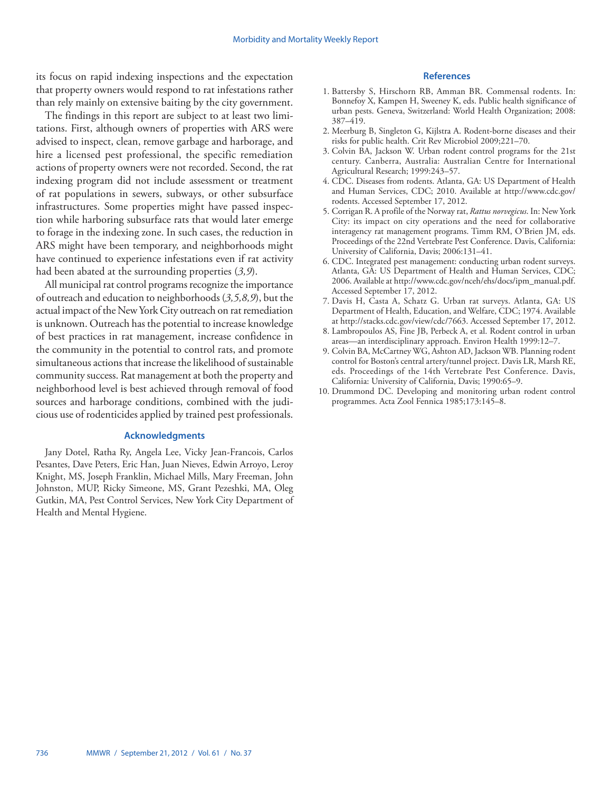its focus on rapid indexing inspections and the expectation that property owners would respond to rat infestations rather than rely mainly on extensive baiting by the city government.

The findings in this report are subject to at least two limitations. First, although owners of properties with ARS were advised to inspect, clean, remove garbage and harborage, and hire a licensed pest professional, the specific remediation actions of property owners were not recorded. Second, the rat indexing program did not include assessment or treatment of rat populations in sewers, subways, or other subsurface infrastructures. Some properties might have passed inspection while harboring subsurface rats that would later emerge to forage in the indexing zone. In such cases, the reduction in ARS might have been temporary, and neighborhoods might have continued to experience infestations even if rat activity had been abated at the surrounding properties (*3,9*).

All municipal rat control programs recognize the importance of outreach and education to neighborhoods (*3,5,8,9*), but the actual impact of the New York City outreach on rat remediation is unknown. Outreach has the potential to increase knowledge of best practices in rat management, increase confidence in the community in the potential to control rats, and promote simultaneous actions that increase the likelihood of sustainable community success. Rat management at both the property and neighborhood level is best achieved through removal of food sources and harborage conditions, combined with the judicious use of rodenticides applied by trained pest professionals.

#### **Acknowledgments**

Jany Dotel, Ratha Ry, Angela Lee, Vicky Jean-Francois, Carlos Pesantes, Dave Peters, Eric Han, Juan Nieves, Edwin Arroyo, Leroy Knight, MS, Joseph Franklin, Michael Mills, Mary Freeman, John Johnston, MUP, Ricky Simeone, MS, Grant Pezeshki, MA, Oleg Gutkin, MA, Pest Control Services, New York City Department of Health and Mental Hygiene.

- 1. Battersby S, Hirschorn RB, Amman BR. Commensal rodents. In: Bonnefoy X, Kampen H, Sweeney K, eds. Public health significance of urban pests. Geneva, Switzerland: World Health Organization; 2008: 387–419.
- 2. Meerburg B, Singleton G, Kijlstra A. Rodent-borne diseases and their risks for public health. Crit Rev Microbiol 2009;221–70.
- 3. Colvin BA, Jackson W. Urban rodent control programs for the 21st century. Canberra, Australia: Australian Centre for International Agricultural Research; 1999:243–57.
- 4. CDC. Diseases from rodents. Atlanta, GA: US Department of Health and Human Services, CDC; 2010. Available at http://www.cdc.gov/ rodents. Accessed September 17, 2012.
- 5. Corrigan R. A profile of the Norway rat, *Rattus norvegicus*. In: New York City: its impact on city operations and the need for collaborative interagency rat management programs. Timm RM, O'Brien JM, eds. Proceedings of the 22nd Vertebrate Pest Conference. Davis, California: University of California, Davis; 2006:131–41.
- 6. CDC. Integrated pest management: conducting urban rodent surveys. Atlanta, GA: US Department of Health and Human Services, CDC; 2006. Available at http://www.cdc.gov/nceh/ehs/docs/ipm\_manual.pdf. Accessed September 17, 2012.
- 7. Davis H, Casta A, Schatz G. Urban rat surveys. Atlanta, GA: US Department of Health, Education, and Welfare, CDC; 1974. Available at http://stacks.cdc.gov/view/cdc/7663. Accessed September 17, 2012.
- 8. Lambropoulos AS, Fine JB, Perbeck A, et al. Rodent control in urban areas—an interdisciplinary approach. Environ Health 1999:12–7.
- 9. Colvin BA, McCartney WG, Ashton AD, Jackson WB. Planning rodent control for Boston's central artery/tunnel project. Davis LR, Marsh RE, eds. Proceedings of the 14th Vertebrate Pest Conference. Davis, California: University of California, Davis; 1990:65–9.
- 10. Drummond DC. Developing and monitoring urban rodent control programmes. Acta Zool Fennica 1985;173:145–8.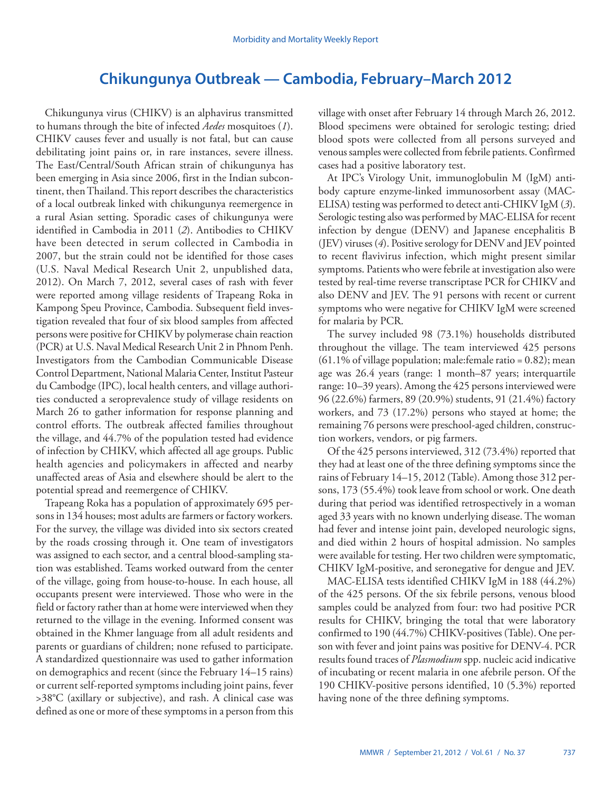## **Chikungunya Outbreak — Cambodia, February–March 2012**

<span id="page-4-0"></span>Chikungunya virus (CHIKV) is an alphavirus transmitted to humans through the bite of infected *Aedes* mosquitoes (*1*). CHIKV causes fever and usually is not fatal, but can cause debilitating joint pains or, in rare instances, severe illness. The East/Central/South African strain of chikungunya has been emerging in Asia since 2006, first in the Indian subcontinent, then Thailand. This report describes the characteristics of a local outbreak linked with chikungunya reemergence in a rural Asian setting. Sporadic cases of chikungunya were identified in Cambodia in 2011 (*2*). Antibodies to CHIKV have been detected in serum collected in Cambodia in 2007, but the strain could not be identified for those cases (U.S. Naval Medical Research Unit 2, unpublished data, 2012). On March 7, 2012, several cases of rash with fever were reported among village residents of Trapeang Roka in Kampong Speu Province, Cambodia. Subsequent field investigation revealed that four of six blood samples from affected persons were positive for CHIKV by polymerase chain reaction (PCR) at U.S. Naval Medical Research Unit 2 in Phnom Penh. Investigators from the Cambodian Communicable Disease Control Department, National Malaria Center, Institut Pasteur du Cambodge (IPC), local health centers, and village authorities conducted a seroprevalence study of village residents on March 26 to gather information for response planning and control efforts. The outbreak affected families throughout the village, and 44.7% of the population tested had evidence of infection by CHIKV, which affected all age groups. Public health agencies and policymakers in affected and nearby unaffected areas of Asia and elsewhere should be alert to the potential spread and reemergence of CHIKV.

Trapeang Roka has a population of approximately 695 persons in 134 houses; most adults are farmers or factory workers. For the survey, the village was divided into six sectors created by the roads crossing through it. One team of investigators was assigned to each sector, and a central blood-sampling station was established. Teams worked outward from the center of the village, going from house-to-house. In each house, all occupants present were interviewed. Those who were in the field or factory rather than at home were interviewed when they returned to the village in the evening. Informed consent was obtained in the Khmer language from all adult residents and parents or guardians of children; none refused to participate. A standardized questionnaire was used to gather information on demographics and recent (since the February 14–15 rains) or current self-reported symptoms including joint pains, fever >38°C (axillary or subjective), and rash. A clinical case was defined as one or more of these symptoms in a person from this

village with onset after February 14 through March 26, 2012. Blood specimens were obtained for serologic testing; dried blood spots were collected from all persons surveyed and venous samples were collected from febrile patients. Confirmed cases had a positive laboratory test.

At IPC's Virology Unit, immunoglobulin M (IgM) antibody capture enzyme-linked immunosorbent assay (MAC-ELISA) testing was performed to detect anti-CHIKV IgM (*3*). Serologic testing also was performed by MAC-ELISA for recent infection by dengue (DENV) and Japanese encephalitis B (JEV) viruses (*4*). Positive serology for DENV and JEV pointed to recent flavivirus infection, which might present similar symptoms. Patients who were febrile at investigation also were tested by real-time reverse transcriptase PCR for CHIKV and also DENV and JEV. The 91 persons with recent or current symptoms who were negative for CHIKV IgM were screened for malaria by PCR.

The survey included 98 (73.1%) households distributed throughout the village. The team interviewed 425 persons  $(61.1\%$  of village population; male: female ratio = 0.82); mean age was 26.4 years (range: 1 month–87 years; interquartile range: 10–39 years). Among the 425 persons interviewed were 96 (22.6%) farmers, 89 (20.9%) students, 91 (21.4%) factory workers, and 73 (17.2%) persons who stayed at home; the remaining 76 persons were preschool-aged children, construction workers, vendors, or pig farmers.

Of the 425 persons interviewed, 312 (73.4%) reported that they had at least one of the three defining symptoms since the rains of February 14–15, 2012 (Table). Among those 312 persons, 173 (55.4%) took leave from school or work. One death during that period was identified retrospectively in a woman aged 33 years with no known underlying disease. The woman had fever and intense joint pain, developed neurologic signs, and died within 2 hours of hospital admission. No samples were available for testing. Her two children were symptomatic, CHIKV IgM-positive, and seronegative for dengue and JEV.

MAC-ELISA tests identified CHIKV IgM in 188 (44.2%) of the 425 persons. Of the six febrile persons, venous blood samples could be analyzed from four: two had positive PCR results for CHIKV, bringing the total that were laboratory confirmed to 190 (44.7%) CHIKV-positives (Table). One person with fever and joint pains was positive for DENV-4. PCR results found traces of *Plasmodium* spp. nucleic acid indicative of incubating or recent malaria in one afebrile person. Of the 190 CHIKV-positive persons identified, 10 (5.3%) reported having none of the three defining symptoms.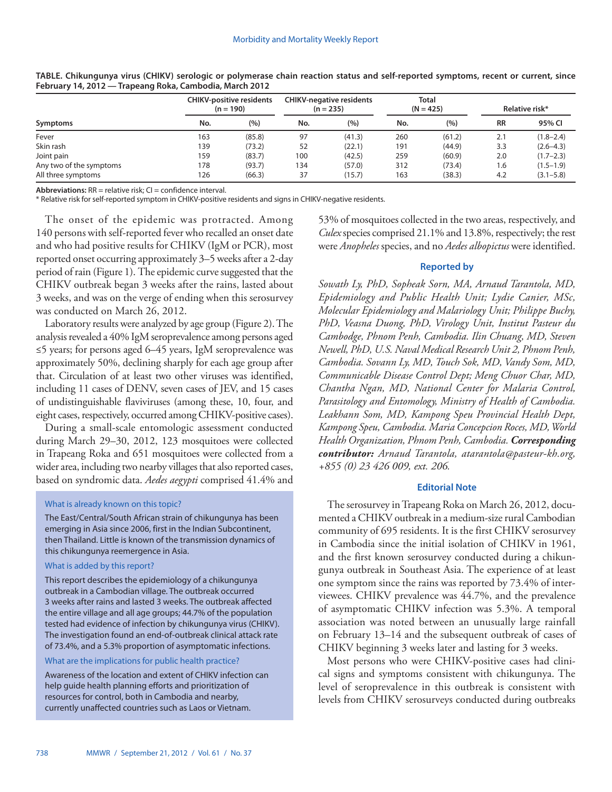|                                               |            | <b>CHIKV-positive residents</b><br>$(n = 190)$ |           | <b>CHIKV-negative residents</b><br>$(n = 235)$ |            | <b>Total</b><br>$(N = 425)$ | Relative risk* |                                |
|-----------------------------------------------|------------|------------------------------------------------|-----------|------------------------------------------------|------------|-----------------------------|----------------|--------------------------------|
| Symptoms                                      | No.        | (%)                                            | No.       | (%)                                            | No.        | (%)                         | <b>RR</b>      | 95% CI                         |
| Fever                                         | 163        | (85.8)                                         | 97        | (41.3)                                         | 260        | (61.2)                      | 2.1            | $(1.8 - 2.4)$                  |
| Skin rash                                     | 139        | (73.2)                                         | 52        | (22.1)                                         | 191        | (44.9)                      | 3.3            | $(2.6 - 4.3)$                  |
| Joint pain                                    | 159        | (83.7)                                         | 100       | (42.5)                                         | 259        | (60.9)                      | 2.0            | $(1.7 - 2.3)$                  |
| Any two of the symptoms<br>All three symptoms | 178<br>126 | (93.7)<br>(66.3)                               | 134<br>37 | (57.0)<br>(15.7)                               | 312<br>163 | (73.4)<br>(38.3)            | 1.6<br>4.2     | $(1.5 - 1.9)$<br>$(3.1 - 5.8)$ |

**TABLE. Chikungunya virus (CHIKV) serologic or polymerase chain reaction status and self-reported symptoms, recent or current, since February 14, 2012 — Trapeang Roka, Cambodia, March 2012**

Abbreviations: RR = relative risk; CI = confidence interval.

\* Relative risk for self-reported symptom in CHIKV-positive residents and signs in CHIKV-negative residents.

The onset of the epidemic was protracted. Among 140 persons with self-reported fever who recalled an onset date and who had positive results for CHIKV (IgM or PCR), most reported onset occurring approximately 3–5 weeks after a 2-day period of rain (Figure 1). The epidemic curve suggested that the CHIKV outbreak began 3 weeks after the rains, lasted about 3 weeks, and was on the verge of ending when this serosurvey was conducted on March 26, 2012.

Laboratory results were analyzed by age group (Figure 2). The analysis revealed a 40% IgM seroprevalence among persons aged ≤5 years; for persons aged 6–45 years, IgM seroprevalence was approximately 50%, declining sharply for each age group after that. Circulation of at least two other viruses was identified, including 11 cases of DENV, seven cases of JEV, and 15 cases of undistinguishable flaviviruses (among these, 10, four, and eight cases, respectively, occurred among CHIKV-positive cases).

During a small-scale entomologic assessment conducted during March 29–30, 2012, 123 mosquitoes were collected in Trapeang Roka and 651 mosquitoes were collected from a wider area, including two nearby villages that also reported cases, based on syndromic data. *Aedes aegypti* comprised 41.4% and

### What is already known on this topic?

The East/Central/South African strain of chikungunya has been emerging in Asia since 2006, first in the Indian Subcontinent, then Thailand. Little is known of the transmission dynamics of this chikungunya reemergence in Asia.

## What is added by this report?

This report describes the epidemiology of a chikungunya outbreak in a Cambodian village. The outbreak occurred 3 weeks after rains and lasted 3 weeks. The outbreak affected the entire village and all age groups; 44.7% of the population tested had evidence of infection by chikungunya virus (CHIKV). The investigation found an end-of-outbreak clinical attack rate of 73.4%, and a 5.3% proportion of asymptomatic infections.

## What are the implications for public health practice?

Awareness of the location and extent of CHIKV infection can help guide health planning efforts and prioritization of resources for control, both in Cambodia and nearby, currently unaffected countries such as Laos or Vietnam.

53% of mosquitoes collected in the two areas, respectively, and *Culex* species comprised 21.1% and 13.8%, respectively; the rest were *Anopheles* species, and no *Aedes albopictus* were identified.

## **Reported by**

*Sowath Ly, PhD, Sopheak Sorn, MA, Arnaud Tarantola, MD, Epidemiology and Public Health Unit; Lydie Canier, MSc, Molecular Epidemiology and Malariology Unit; Philippe Buchy, PhD, Veasna Duong, PhD, Virology Unit, Institut Pasteur du Cambodge, Phnom Penh, Cambodia. Ilin Chuang, MD, Steven Newell, PhD, U.S. Naval Medical Research Unit 2, Phnom Penh, Cambodia. Sovann Ly, MD, Touch Sok, MD, Vandy Som, MD, Communicable Disease Control Dept; Meng Chuor Char, MD, Chantha Ngan, MD, National Center for Malaria Control, Parasitology and Entomology, Ministry of Health of Cambodia. Leakhann Som, MD, Kampong Speu Provincial Health Dept, Kampong Speu, Cambodia. Maria Concepcion Roces, MD, World Health Organization, Phnom Penh, Cambodia. Corresponding contributor: Arnaud Tarantola, atarantola@pasteur-kh.org, +855 (0) 23 426 009, ext. 206.*

## **Editorial Note**

The serosurvey in Trapeang Roka on March 26, 2012, documented a CHIKV outbreak in a medium-size rural Cambodian community of 695 residents. It is the first CHIKV serosurvey in Cambodia since the initial isolation of CHIKV in 1961, and the first known serosurvey conducted during a chikungunya outbreak in Southeast Asia. The experience of at least one symptom since the rains was reported by 73.4% of interviewees. CHIKV prevalence was 44.7%, and the prevalence of asymptomatic CHIKV infection was 5.3%. A temporal association was noted between an unusually large rainfall on February 13–14 and the subsequent outbreak of cases of CHIKV beginning 3 weeks later and lasting for 3 weeks.

Most persons who were CHIKV-positive cases had clinical signs and symptoms consistent with chikungunya. The level of seroprevalence in this outbreak is consistent with levels from CHIKV serosurveys conducted during outbreaks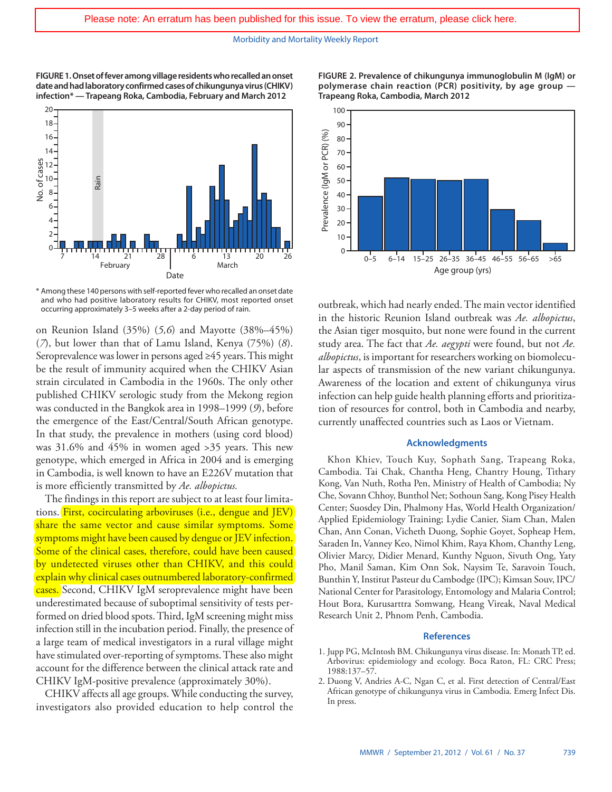#### Morbidity and Mortality Weekly Report

**FIGURE 1. Onset of fever among village residents who recalled an onset date and had laboratory confirmed cases of chikungunya virus (CHIKV) infection\* — Trapeang Roka, Cambodia, February and March 2012**



\* Among these 140 persons with self-reported fever who recalled an onset date and who had positive laboratory results for CHIKV, most reported onset occurring approximately 3–5 weeks after a 2-day period of rain.

on Reunion Island (35%) (*5,6*) and Mayotte (38%–45%) (*7*), but lower than that of Lamu Island, Kenya (75%) (*8*). Seroprevalence was lower in persons aged ≥45 years. This might be the result of immunity acquired when the CHIKV Asian strain circulated in Cambodia in the 1960s. The only other published CHIKV serologic study from the Mekong region was conducted in the Bangkok area in 1998–1999 (*9*), before the emergence of the East/Central/South African genotype. In that study, the prevalence in mothers (using cord blood) was 31.6% and 45% in women aged >35 years. This new genotype, which emerged in Africa in 2004 and is emerging in Cambodia, is well known to have an E226V mutation that is more efficiently transmitted by *Ae. albopictus.*

The findings in this report are subject to at least four limitations. First, cocirculating arboviruses (i.e., dengue and JEV) share the same vector and cause similar symptoms. Some [symptoms might have been caused by dengue or JEV infection.](http://www.cdc.gov/mmwr/PDF/wk/mm6141.pdf)  Some of the clinical cases, therefore, could have been caused by undetected viruses other than CHIKV, and this could explain why clinical cases outnumbered laboratory-confirmed cases. Second, CHIKV IgM seroprevalence might have been underestimated because of suboptimal sensitivity of tests performed on dried blood spots. Third, IgM screening might miss infection still in the incubation period. Finally, the presence of a large team of medical investigators in a rural village might have stimulated over-reporting of symptoms. These also might account for the difference between the clinical attack rate and CHIKV IgM-positive prevalence (approximately 30%).

CHIKV affects all age groups. While conducting the survey, investigators also provided education to help control the **FIGURE 2. Prevalence of chikungunya immunoglobulin M (IgM) or polymerase chain reaction (PCR) positivity, by age group — Trapeang Roka, Cambodia, March 2012**



outbreak, which had nearly ended. The main vector identified in the historic Reunion Island outbreak was *Ae. albopictus*, the Asian tiger mosquito, but none were found in the current study area. The fact that *Ae. aegypti* were found, but not *Ae. albopictus*, is important for researchers working on biomolecular aspects of transmission of the new variant chikungunya. Awareness of the location and extent of chikungunya virus infection can help guide health planning efforts and prioritization of resources for control, both in Cambodia and nearby, currently unaffected countries such as Laos or Vietnam.

## **Acknowledgments**

Khon Khiev, Touch Kuy, Sophath Sang, Trapeang Roka, Cambodia. Tai Chak, Chantha Heng, Chantry Houng, Tithary Kong, Van Nuth, Rotha Pen, Ministry of Health of Cambodia; Ny Che, Sovann Chhoy, Bunthol Net; Sothoun Sang, Kong Pisey Health Center; Suosdey Din, Phalmony Has, World Health Organization/ Applied Epidemiology Training; Lydie Canier, Siam Chan, Malen Chan, Ann Conan, Vicheth Duong, Sophie Goyet, Sopheap Hem, Saraden In, Vanney Keo, Nimol Khim, Raya Khom, Chanthy Leng, Olivier Marcy, Didier Menard, Kunthy Nguon, Sivuth Ong, Yaty Pho, Manil Saman, Kim Onn Sok, Naysim Te, Saravoin Touch, Bunthin Y, Institut Pasteur du Cambodge (IPC); Kimsan Souv, IPC/ National Center for Parasitology, Entomology and Malaria Control; Hout Bora, Kurusarttra Somwang, Heang Vireak, Naval Medical Research Unit 2, Phnom Penh, Cambodia.

- 1. Jupp PG, McIntosh BM. Chikungunya virus disease. In: Monath TP, ed. Arbovirus: epidemiology and ecology. Boca Raton, FL: CRC Press; 1988:137–57.
- 2. Duong V, Andries A-C, Ngan C, et al. First detection of Central/East African genotype of chikungunya virus in Cambodia. Emerg Infect Dis. In press.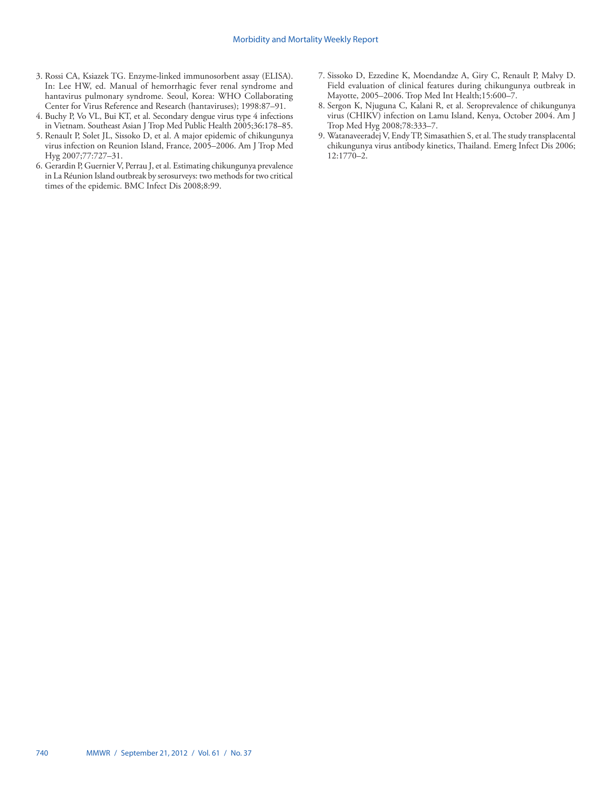- 3. Rossi CA, Ksiazek TG. Enzyme-linked immunosorbent assay (ELISA). In: Lee HW, ed. Manual of hemorrhagic fever renal syndrome and hantavirus pulmonary syndrome. Seoul, Korea: WHO Collaborating Center for Virus Reference and Research (hantaviruses); 1998:87–91.
- 4. Buchy P, Vo VL, Bui KT, et al. Secondary dengue virus type 4 infections in Vietnam. Southeast Asian J Trop Med Public Health 2005;36:178–85.
- 5. Renault P, Solet JL, Sissoko D, et al. A major epidemic of chikungunya virus infection on Reunion Island, France, 2005–2006. Am J Trop Med Hyg 2007;77:727–31.
- 6. Gerardin P, Guernier V, Perrau J, et al. Estimating chikungunya prevalence in La Réunion Island outbreak by serosurveys: two methods for two critical times of the epidemic. BMC Infect Dis 2008;8:99.
- 7. Sissoko D, Ezzedine K, Moendandze A, Giry C, Renault P, Malvy D. Field evaluation of clinical features during chikungunya outbreak in Mayotte, 2005–2006. Trop Med Int Health;15:600–7.
- 8. Sergon K, Njuguna C, Kalani R, et al. Seroprevalence of chikungunya virus (CHIKV) infection on Lamu Island, Kenya, October 2004. Am J Trop Med Hyg 2008;78:333–7.
- 9. Watanaveeradej V, Endy TP, Simasathien S, et al. The study transplacental chikungunya virus antibody kinetics, Thailand. Emerg Infect Dis 2006; 12:1770–2.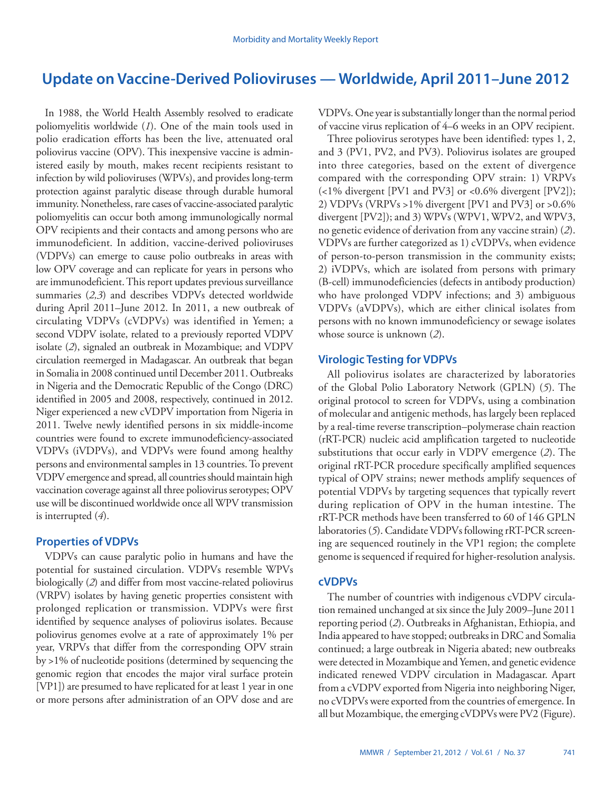# <span id="page-8-0"></span>**Update on Vaccine-Derived Polioviruses — Worldwide, April 2011–June 2012**

In 1988, the World Health Assembly resolved to eradicate poliomyelitis worldwide (*1*). One of the main tools used in polio eradication efforts has been the live, attenuated oral poliovirus vaccine (OPV). This inexpensive vaccine is administered easily by mouth, makes recent recipients resistant to infection by wild polioviruses (WPVs), and provides long-term protection against paralytic disease through durable humoral immunity. Nonetheless, rare cases of vaccine-associated paralytic poliomyelitis can occur both among immunologically normal OPV recipients and their contacts and among persons who are immunodeficient. In addition, vaccine-derived polioviruses (VDPVs) can emerge to cause polio outbreaks in areas with low OPV coverage and can replicate for years in persons who are immunodeficient. This report updates previous surveillance summaries (*2,3*) and describes VDPVs detected worldwide during April 2011–June 2012. In 2011, a new outbreak of circulating VDPVs (cVDPVs) was identified in Yemen; a second VDPV isolate, related to a previously reported VDPV isolate (*2*), signaled an outbreak in Mozambique; and VDPV circulation reemerged in Madagascar. An outbreak that began in Somalia in 2008 continued until December 2011. Outbreaks in Nigeria and the Democratic Republic of the Congo (DRC) identified in 2005 and 2008, respectively, continued in 2012. Niger experienced a new cVDPV importation from Nigeria in 2011. Twelve newly identified persons in six middle-income countries were found to excrete immunodeficiency-associated VDPVs (iVDPVs), and VDPVs were found among healthy persons and environmental samples in 13 countries. To prevent VDPV emergence and spread, all countries should maintain high vaccination coverage against all three poliovirus serotypes; OPV use will be discontinued worldwide once all WPV transmission is interrupted (*4*).

## **Properties of VDPVs**

VDPVs can cause paralytic polio in humans and have the potential for sustained circulation. VDPVs resemble WPVs biologically (*2*) and differ from most vaccine-related poliovirus (VRPV) isolates by having genetic properties consistent with prolonged replication or transmission. VDPVs were first identified by sequence analyses of poliovirus isolates. Because poliovirus genomes evolve at a rate of approximately 1% per year, VRPVs that differ from the corresponding OPV strain by >1% of nucleotide positions (determined by sequencing the genomic region that encodes the major viral surface protein [VP1]) are presumed to have replicated for at least 1 year in one or more persons after administration of an OPV dose and are

VDPVs. One year is substantially longer than the normal period of vaccine virus replication of 4–6 weeks in an OPV recipient.

Three poliovirus serotypes have been identified: types 1, 2, and 3 (PV1, PV2, and PV3). Poliovirus isolates are grouped into three categories, based on the extent of divergence compared with the corresponding OPV strain: 1) VRPVs (<1% divergent [PV1 and PV3] or <0.6% divergent [PV2]); 2) VDPVs (VRPVs >1% divergent [PV1 and PV3] or >0.6% divergent [PV2]); and 3) WPVs (WPV1, WPV2, and WPV3, no genetic evidence of derivation from any vaccine strain) (*2*). VDPVs are further categorized as 1) cVDPVs, when evidence of person-to-person transmission in the community exists; 2) iVDPVs, which are isolated from persons with primary (B-cell) immunodeficiencies (defects in antibody production) who have prolonged VDPV infections; and 3) ambiguous VDPVs (aVDPVs), which are either clinical isolates from persons with no known immunodeficiency or sewage isolates whose source is unknown (*2*).

## **Virologic Testing for VDPVs**

All poliovirus isolates are characterized by laboratories of the Global Polio Laboratory Network (GPLN) (*5*). The original protocol to screen for VDPVs, using a combination of molecular and antigenic methods, has largely been replaced by a real-time reverse transcription–polymerase chain reaction (rRT-PCR) nucleic acid amplification targeted to nucleotide substitutions that occur early in VDPV emergence (*2*). The original rRT-PCR procedure specifically amplified sequences typical of OPV strains; newer methods amplify sequences of potential VDPVs by targeting sequences that typically revert during replication of OPV in the human intestine. The rRT-PCR methods have been transferred to 60 of 146 GPLN laboratories (*5*). Candidate VDPVs following rRT-PCR screening are sequenced routinely in the VP1 region; the complete genome is sequenced if required for higher-resolution analysis.

## **cVDPVs**

The number of countries with indigenous cVDPV circulation remained unchanged at six since the July 2009–June 2011 reporting period (*2*). Outbreaks in Afghanistan, Ethiopia, and India appeared to have stopped; outbreaks in DRC and Somalia continued; a large outbreak in Nigeria abated; new outbreaks were detected in Mozambique and Yemen, and genetic evidence indicated renewed VDPV circulation in Madagascar. Apart from a cVDPV exported from Nigeria into neighboring Niger, no cVDPVs were exported from the countries of emergence. In all but Mozambique, the emerging cVDPVs were PV2 (Figure).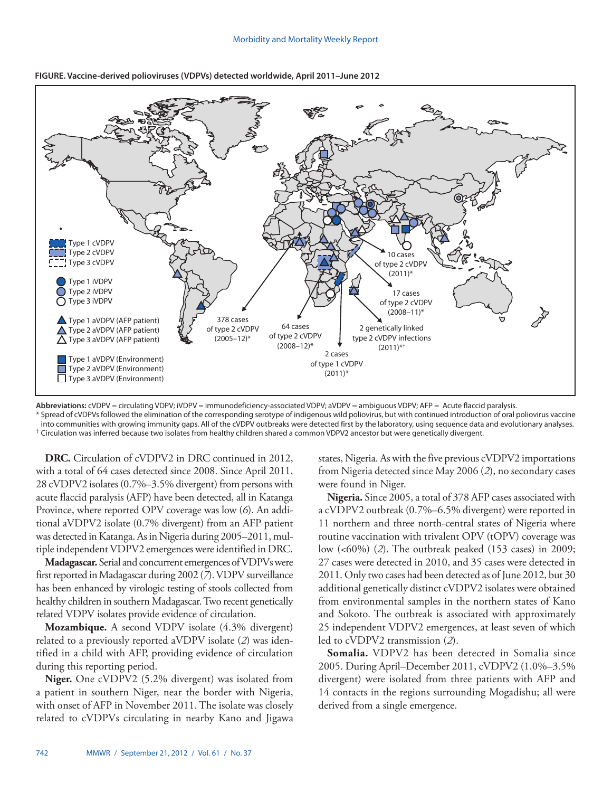

**FIGURE. Vaccine-derived polioviruses (VDPVs) detected worldwide, April 2011–June 2012**

**Abbreviations:** cVDPV = circulating VDPV; iVDPV = immunodeficiency-associated VDPV; aVDPV = ambiguous VDPV; AFP = Acute flaccid paralysis. \* Spread of cVDPVs followed the elimination of the corresponding serotype of indigenous wild poliovirus, but with continued introduction of oral poliovirus vaccine into communities with growing immunity gaps. All of the cVDPV outbreaks were detected first by the laboratory, using sequence data and evolutionary analyses.  $^\dagger$  Circulation was inferred because two isolates from healthy children shared a common VDPV2 ancestor but were genetically divergent.

**DRC.** Circulation of cVDPV2 in DRC continued in 2012, with a total of 64 cases detected since 2008. Since April 2011, 28 cVDPV2 isolates (0.7%–3.5% divergent) from persons with acute flaccid paralysis (AFP) have been detected, all in Katanga Province, where reported OPV coverage was low (*6*). An additional aVDPV2 isolate (0.7% divergent) from an AFP patient was detected in Katanga. As in Nigeria during 2005–2011, multiple independent VDPV2 emergences were identified in DRC.

**Madagascar.** Serial and concurrent emergences of VDPVs were first reported in Madagascar during 2002 (*7*). VDPV surveillance has been enhanced by virologic testing of stools collected from healthy children in southern Madagascar. Two recent genetically related VDPV isolates provide evidence of circulation.

**Mozambique.** A second VDPV isolate (4.3% divergent) related to a previously reported aVDPV isolate (*2*) was identified in a child with AFP, providing evidence of circulation during this reporting period.

**Niger.** One cVDPV2 (5.2% divergent) was isolated from a patient in southern Niger, near the border with Nigeria, with onset of AFP in November 2011. The isolate was closely related to cVDPVs circulating in nearby Kano and Jigawa states, Nigeria. As with the five previous cVDPV2 importations from Nigeria detected since May 2006 (*2*), no secondary cases were found in Niger.

**Nigeria.** Since 2005, a total of 378 AFP cases associated with a cVDPV2 outbreak (0.7%–6.5% divergent) were reported in 11 northern and three north-central states of Nigeria where routine vaccination with trivalent OPV (tOPV) coverage was low (<60%) (*2*). The outbreak peaked (153 cases) in 2009; 27 cases were detected in 2010, and 35 cases were detected in 2011. Only two cases had been detected as of June 2012, but 30 additional genetically distinct cVDPV2 isolates were obtained from environmental samples in the northern states of Kano and Sokoto. The outbreak is associated with approximately 25 independent VDPV2 emergences, at least seven of which led to cVDPV2 transmission (*2*).

**Somalia.** VDPV2 has been detected in Somalia since 2005. During April–December 2011, cVDPV2 (1.0%–3.5% divergent) were isolated from three patients with AFP and 14 contacts in the regions surrounding Mogadishu; all were derived from a single emergence.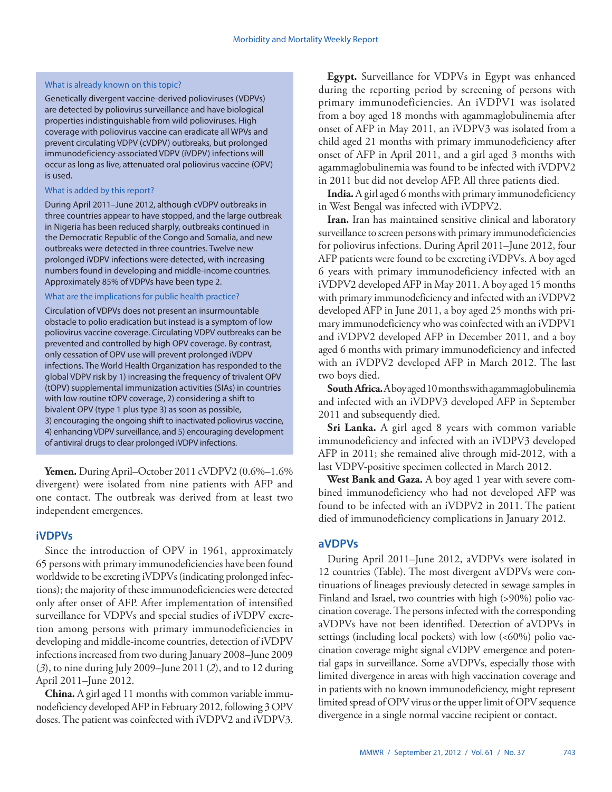#### What is already known on this topic?

Genetically divergent vaccine-derived polioviruses (VDPVs) are detected by poliovirus surveillance and have biological properties indistinguishable from wild polioviruses. High coverage with poliovirus vaccine can eradicate all WPVs and prevent circulating VDPV (cVDPV) outbreaks, but prolonged immunodeficiency-associated VDPV (iVDPV) infections will occur as long as live, attenuated oral poliovirus vaccine (OPV) is used.

#### What is added by this report?

During April 2011–June 2012, although cVDPV outbreaks in three countries appear to have stopped, and the large outbreak in Nigeria has been reduced sharply, outbreaks continued in the Democratic Republic of the Congo and Somalia, and new outbreaks were detected in three countries. Twelve new prolonged iVDPV infections were detected, with increasing numbers found in developing and middle-income countries. Approximately 85% of VDPVs have been type 2.

### What are the implications for public health practice?

Circulation of VDPVs does not present an insurmountable obstacle to polio eradication but instead is a symptom of low poliovirus vaccine coverage. Circulating VDPV outbreaks can be prevented and controlled by high OPV coverage. By contrast, only cessation of OPV use will prevent prolonged iVDPV infections. The World Health Organization has responded to the global VDPV risk by 1) increasing the frequency of trivalent OPV (tOPV) supplemental immunization activities (SIAs) in countries with low routine tOPV coverage, 2) considering a shift to bivalent OPV (type 1 plus type 3) as soon as possible, 3) encouraging the ongoing shift to inactivated poliovirus vaccine, 4) enhancing VDPV surveillance, and 5) encouraging development of antiviral drugs to clear prolonged iVDPV infections.

**Yemen.** During April–October 2011 cVDPV2 (0.6%–1.6% divergent) were isolated from nine patients with AFP and one contact. The outbreak was derived from at least two independent emergences.

## **iVDPVs**

Since the introduction of OPV in 1961, approximately 65 persons with primary immunodeficiencies have been found worldwide to be excreting iVDPVs (indicating prolonged infections); the majority of these immunodeficiencies were detected only after onset of AFP. After implementation of intensified surveillance for VDPVs and special studies of iVDPV excretion among persons with primary immunodeficiencies in developing and middle-income countries, detection of iVDPV infections increased from two during January 2008–June 2009 (*3*), to nine during July 2009–June 2011 (*2*), and to 12 during April 2011–June 2012.

**China.** A girl aged 11 months with common variable immunodeficiency developed AFP in February 2012, following 3 OPV doses. The patient was coinfected with iVDPV2 and iVDPV3.

**Egypt.** Surveillance for VDPVs in Egypt was enhanced during the reporting period by screening of persons with primary immunodeficiencies. An iVDPV1 was isolated from a boy aged 18 months with agammaglobulinemia after onset of AFP in May 2011, an iVDPV3 was isolated from a child aged 21 months with primary immunodeficiency after onset of AFP in April 2011, and a girl aged 3 months with agammaglobulinemia was found to be infected with iVDPV2 in 2011 but did not develop AFP. All three patients died.

**India.** A girl aged 6 months with primary immunodeficiency in West Bengal was infected with iVDPV2.

**Iran.** Iran has maintained sensitive clinical and laboratory surveillance to screen persons with primary immunodeficiencies for poliovirus infections. During April 2011–June 2012, four AFP patients were found to be excreting iVDPVs. A boy aged 6 years with primary immunodeficiency infected with an iVDPV2 developed AFP in May 2011. A boy aged 15 months with primary immunodeficiency and infected with an iVDPV2 developed AFP in June 2011, a boy aged 25 months with primary immunodeficiency who was coinfected with an iVDPV1 and iVDPV2 developed AFP in December 2011, and a boy aged 6 months with primary immunodeficiency and infected with an iVDPV2 developed AFP in March 2012. The last two boys died.

**South Africa.** A boy aged 10 months with agammaglobulinemia and infected with an iVDPV3 developed AFP in September 2011 and subsequently died.

**Sri Lanka.** A girl aged 8 years with common variable immunodeficiency and infected with an iVDPV3 developed AFP in 2011; she remained alive through mid-2012, with a last VDPV-positive specimen collected in March 2012.

**West Bank and Gaza.** A boy aged 1 year with severe combined immunodeficiency who had not developed AFP was found to be infected with an iVDPV2 in 2011. The patient died of immunodeficiency complications in January 2012.

## **aVDPVs**

During April 2011–June 2012, aVDPVs were isolated in 12 countries (Table). The most divergent aVDPVs were continuations of lineages previously detected in sewage samples in Finland and Israel, two countries with high (>90%) polio vaccination coverage. The persons infected with the corresponding aVDPVs have not been identified. Detection of aVDPVs in settings (including local pockets) with low (<60%) polio vaccination coverage might signal cVDPV emergence and potential gaps in surveillance. Some aVDPVs, especially those with limited divergence in areas with high vaccination coverage and in patients with no known immunodeficiency, might represent limited spread of OPV virus or the upper limit of OPV sequence divergence in a single normal vaccine recipient or contact.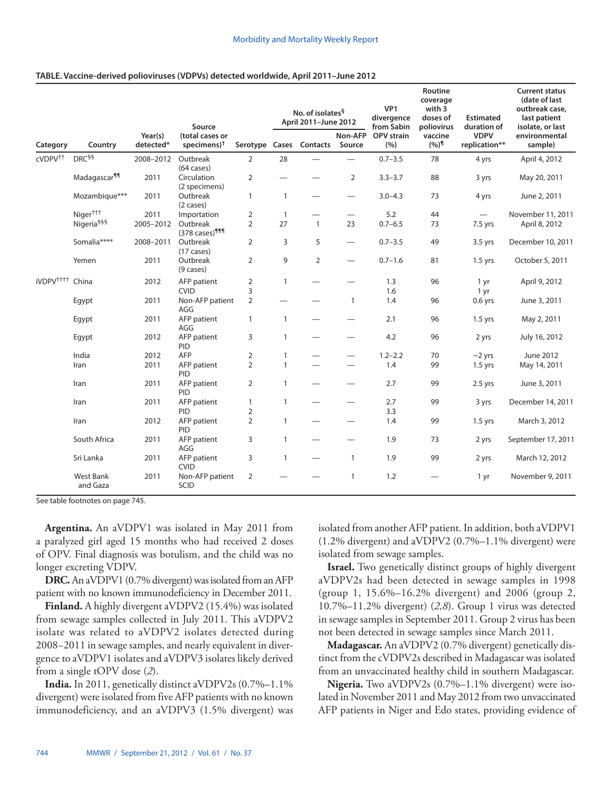## **TABLE. Vaccine-derived polioviruses (VDPVs) detected worldwide, April 2011–June 2012**

|                             |                              |                      | Source<br>(total cases or<br>specimens) $†$ |                     | No. of isolates <sup>§</sup><br>April 2011-June 2012 |                                |                          | VP <sub>1</sub><br>divergence<br>from Sabin | Routine<br>coverage<br>with 3<br>doses of<br>poliovirus | <b>Estimated</b><br>duration of  | <b>Current status</b><br>(date of last<br>outbreak case,<br>last patient<br>isolate, or last |
|-----------------------------|------------------------------|----------------------|---------------------------------------------|---------------------|------------------------------------------------------|--------------------------------|--------------------------|---------------------------------------------|---------------------------------------------------------|----------------------------------|----------------------------------------------------------------------------------------------|
| Category                    | Country                      | Year(s)<br>detected* |                                             |                     |                                                      | Serotype Cases Contacts Source | Non-AFP                  | <b>OPV</b> strain<br>(%)                    | vaccine<br>$(9/6)$ <sup>q</sup>                         | <b>VDPV</b><br>replication**     | environmental<br>sample)                                                                     |
| cVDPV <sup>++</sup>         | DRC <sup>§§</sup>            | 2008-2012            | Outbreak<br>(64 cases)                      | $\overline{2}$      | 28                                                   |                                |                          | $0.7 - 3.5$                                 | 78                                                      | 4 yrs                            | April 4, 2012                                                                                |
|                             | Madagascar <sup>91</sup>     | 2011                 | Circulation<br>(2 specimens)                | $\overline{2}$      |                                                      |                                | $\overline{2}$           | $3.3 - 3.7$                                 | 88                                                      | 3 yrs                            | May 20, 2011                                                                                 |
|                             | Mozambique***                | 2011                 | Outbreak<br>$(2 \text{ cases})$             | $\mathbf{1}$        | 1                                                    |                                |                          | $3.0 - 4.3$                                 | 73                                                      | 4 yrs                            | June 2, 2011                                                                                 |
|                             | Niger <sup>†††</sup>         | 2011                 | Importation                                 | 2                   | $\mathbf{1}$                                         |                                | $\overline{\phantom{0}}$ | 5.2                                         | 44                                                      | $\overbrace{\phantom{12322111}}$ | November 11, 2011                                                                            |
|                             | Nigeria <sup>§§§</sup>       | 2005-2012            | Outbreak<br>(378 cases) 111                 | $\overline{2}$      | 27                                                   | $\mathbf{1}$                   | 23                       | $0.7 - 6.5$                                 | 73                                                      | 7.5 yrs                          | April 8, 2012                                                                                |
|                             | Somalia****                  | 2008-2011            | Outbreak<br>$(17 \text{ cases})$            | $\overline{2}$      | 3                                                    | 5                              |                          | $0.7 - 3.5$                                 | 49                                                      | $3.5$ yrs                        | December 10, 2011                                                                            |
|                             | Yemen                        | 2011                 | Outbreak<br>$(9 \text{ cases})$             | $\overline{2}$      | 9                                                    | $\overline{2}$                 |                          | $0.7 - 1.6$                                 | 81                                                      | $1.5$ yrs                        | October 5, 2011                                                                              |
| iVDPV <sup>††††</sup> China |                              | 2012                 | AFP patient<br><b>CVID</b>                  | $\overline{2}$<br>3 | $\mathbf{1}$                                         |                                |                          | 1.3<br>1.6                                  | 96                                                      | 1 yr<br>1 yr                     | April 9, 2012                                                                                |
|                             | Egypt                        | 2011                 | Non-AFP patient<br>AGG                      | $\overline{2}$      |                                                      |                                | $\mathbf{1}$             | 1.4                                         | 96                                                      | $0.6$ yrs                        | June 3, 2011                                                                                 |
|                             | Egypt                        | 2011                 | AFP patient<br>AGG                          | $\mathbf{1}$        | $\mathbf{1}$                                         |                                |                          | 2.1                                         | 96                                                      | $1.5$ yrs                        | May 2, 2011                                                                                  |
|                             | Egypt                        | 2012                 | AFP patient<br>PID                          | 3                   | $\mathbf{1}$                                         |                                |                          | 4.2                                         | 96                                                      | 2 yrs                            | July 16, 2012                                                                                |
|                             | India                        | 2012                 | AFP                                         | $\overline{2}$      | 1                                                    |                                |                          | $1.2 - 2.2$                                 | 70                                                      | $\sim$ 2 yrs                     | June 2012                                                                                    |
|                             | Iran                         | 2011                 | AFP patient<br><b>PID</b>                   | $\overline{2}$      | $\mathbf{1}$                                         |                                | $\overline{\phantom{0}}$ | 1.4                                         | 99                                                      | $1.5$ yrs                        | May 14, 2011                                                                                 |
|                             | Iran                         | 2011                 | AFP patient<br>PID                          | $\overline{2}$      | $\mathbf{1}$                                         |                                |                          | 2.7                                         | 99                                                      | $2.5$ yrs                        | June 3, 2011                                                                                 |
|                             | Iran                         | 2011                 | AFP patient                                 | $\mathbf{1}$        | $\mathbf{1}$                                         |                                |                          | 2.7                                         | 99                                                      | 3 yrs                            | December 14, 2011                                                                            |
|                             |                              |                      | PID                                         | $\overline{2}$      |                                                      |                                |                          | 3.3                                         |                                                         |                                  |                                                                                              |
|                             | Iran                         | 2012                 | AFP patient<br>PID                          | $\overline{2}$      | $\mathbf{1}$                                         |                                |                          | 1.4                                         | 99                                                      | $1.5$ yrs                        | March 3, 2012                                                                                |
|                             | South Africa                 | 2011                 | AFP patient<br>AGG                          | 3                   | $\mathbf{1}$                                         |                                |                          | 1.9                                         | 73                                                      | 2 yrs                            | September 17, 2011                                                                           |
|                             | Sri Lanka                    | 2011                 | AFP patient<br><b>CVID</b>                  | 3                   | 1                                                    |                                | $\mathbf{1}$             | 1.9                                         | 99                                                      | 2 yrs                            | March 12, 2012                                                                               |
|                             | <b>West Bank</b><br>and Gaza | 2011                 | Non-AFP patient<br>SCID                     | $\overline{2}$      |                                                      |                                | $\mathbf{1}$             | 1.2                                         |                                                         | 1 yr                             | November 9, 2011                                                                             |

See table footnotes on page 745.

**Argentina.** An aVDPV1 was isolated in May 2011 from a paralyzed girl aged 15 months who had received 2 doses of OPV. Final diagnosis was botulism, and the child was no longer excreting VDPV.

**DRC.** An aVDPV1 (0.7% divergent) was isolated from an AFP patient with no known immunodeficiency in December 2011.

**Finland.** A highly divergent aVDPV2 (15.4%) was isolated from sewage samples collected in July 2011. This aVDPV2 isolate was related to aVDPV2 isolates detected during 2008−2011 in sewage samples, and nearly equivalent in divergence to aVDPV1 isolates and aVDPV3 isolates likely derived from a single tOPV dose (*2*).

**India.** In 2011, genetically distinct aVDPV2s (0.7%–1.1% divergent) were isolated from five AFP patients with no known immunodeficiency, and an aVDPV3 (1.5% divergent) was isolated from another AFP patient. In addition, both aVDPV1 (1.2% divergent) and aVDPV2 (0.7%–1.1% divergent) were isolated from sewage samples.

**Israel.** Two genetically distinct groups of highly divergent aVDPV2s had been detected in sewage samples in 1998 (group 1, 15.6%–16.2% divergent) and 2006 (group 2, 10.7%–11.2% divergent) (*2,8*). Group 1 virus was detected in sewage samples in September 2011. Group 2 virus has been not been detected in sewage samples since March 2011.

**Madagascar.** An aVDPV2 (0.7% divergent) genetically distinct from the cVDPV2s described in Madagascar was isolated from an unvaccinated healthy child in southern Madagascar.

**Nigeria.** Two aVDPV2s (0.7%–1.1% divergent) were isolated in November 2011 and May 2012 from two unvaccinated AFP patients in Niger and Edo states, providing evidence of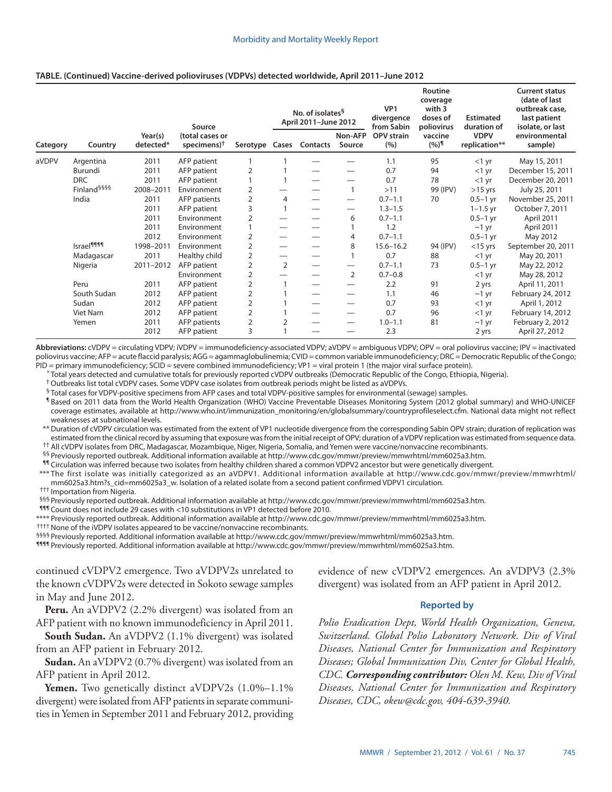|  | TABLE. (Continued) Vaccine-derived polioviruses (VDPVs) detected worldwide, April 2011-June 2012 |  |
|--|--------------------------------------------------------------------------------------------------|--|
|--|--------------------------------------------------------------------------------------------------|--|

|          | Country                 |                      | Source<br>(total cases or<br>specimens) $†$ |                |                | No. of isolates <sup>§</sup><br>April 2011-June 2012 |                   | VP <sub>1</sub><br>divergence<br>from Sabin<br><b>OPV</b> strain<br>(%) | Routine<br>coverage<br>with 3<br>doses of<br>poliovirus<br>vaccine<br>$(%)^{9}$ | <b>Estimated</b><br>duration of<br><b>VDPV</b><br>replication** | <b>Current status</b><br>(date of last)<br>outbreak case,<br>last patient<br>isolate, or last<br>environmental<br>sample) |
|----------|-------------------------|----------------------|---------------------------------------------|----------------|----------------|------------------------------------------------------|-------------------|-------------------------------------------------------------------------|---------------------------------------------------------------------------------|-----------------------------------------------------------------|---------------------------------------------------------------------------------------------------------------------------|
| Category |                         | Year(s)<br>detected* |                                             | Serotype Cases |                | Contacts                                             | Non-AFP<br>Source |                                                                         |                                                                                 |                                                                 |                                                                                                                           |
| aVDPV    | Argentina               | 2011                 | AFP patient                                 |                |                |                                                      |                   | 1.1                                                                     | 95                                                                              | $<$ 1 yr                                                        | May 15, 2011                                                                                                              |
|          | Burundi                 | 2011                 | AFP patient                                 | 2              |                |                                                      |                   | 0.7                                                                     | 94                                                                              | $<$ 1 yr                                                        | December 15, 2011                                                                                                         |
|          | <b>DRC</b>              | 2011                 | AFP patient                                 |                |                |                                                      |                   | 0.7                                                                     | 78                                                                              | $<$ 1 yr                                                        | December 20, 2011                                                                                                         |
|          | Finland <sup>§§§§</sup> | 2008-2011            | Environment                                 | 2              |                |                                                      | 1                 | >11                                                                     | 99 (IPV)                                                                        | $>15$ yrs                                                       | July 25, 2011                                                                                                             |
|          | India                   | 2011                 | AFP patients                                | $\overline{2}$ | 4              |                                                      |                   | $0.7 - 1.1$                                                             | 70                                                                              | $0.5 - 1$ yr                                                    | November 25, 2011                                                                                                         |
|          |                         | 2011                 | AFP patient                                 | 3              |                |                                                      |                   | $1.3 - 1.5$                                                             |                                                                                 | $1 - 1.5$ yr                                                    | October 7, 2011                                                                                                           |
|          |                         | 2011                 | Environment                                 | 2              |                |                                                      | 6                 | $0.7 - 1.1$                                                             |                                                                                 | $0.5 - 1$ yr                                                    | April 2011                                                                                                                |
|          |                         | 2011                 | Environment                                 |                |                |                                                      |                   | 1.2                                                                     |                                                                                 | $\sim$ 1 yr                                                     | April 2011                                                                                                                |
|          |                         | 2012                 | Environment                                 | 2              |                |                                                      | 4                 | $0.7 - 1.1$                                                             |                                                                                 | $0.5 - 1$ yr                                                    | May 2012                                                                                                                  |
|          | Israel <sup>9999</sup>  | 1998-2011            | Environment                                 | 2              |                |                                                      | 8                 | $15.6 - 16.2$                                                           | 94 (IPV)                                                                        | $<$ 15 yrs                                                      | September 20, 2011                                                                                                        |
|          | Madagascar              | 2011                 | Healthy child                               | 2              | —              |                                                      | 1                 | 0.7                                                                     | 88                                                                              | $<$ 1 yr                                                        | May 20, 2011                                                                                                              |
|          | Nigeria                 | 2011-2012            | AFP patient                                 | $\overline{2}$ | $\overline{2}$ |                                                      |                   | $0.7 - 1.1$                                                             | 73                                                                              | $0.5 - 1$ yr                                                    | May 22, 2012                                                                                                              |
|          |                         |                      | Environment                                 | $\overline{2}$ |                |                                                      | $\overline{2}$    | $0.7 - 0.8$                                                             |                                                                                 | $<$ 1 yr                                                        | May 28, 2012                                                                                                              |
|          | Peru                    | 2011                 | AFP patient                                 | 2              |                |                                                      |                   | 2.2                                                                     | 91                                                                              | 2 yrs                                                           | April 11, 2011                                                                                                            |
|          | South Sudan             | 2012                 | AFP patient                                 | $\overline{2}$ |                |                                                      |                   | 1.1                                                                     | 46                                                                              | $\sim$ 1 yr                                                     | February 24, 2012                                                                                                         |
|          | Sudan                   | 2012                 | AFP patient                                 | 2              |                |                                                      |                   | 0.7                                                                     | 93                                                                              | $<$ 1 yr                                                        | April 1, 2012                                                                                                             |
|          | Viet Nam                | 2012                 | AFP patient                                 | $\overline{2}$ |                |                                                      |                   | 0.7                                                                     | 96                                                                              | $<$ 1 yr                                                        | February 14, 2012                                                                                                         |
|          | Yemen                   | 2011                 | AFP patients                                | $\overline{2}$ | $\overline{2}$ |                                                      |                   | $1.0 - 1.1$                                                             | 81                                                                              | $\sim$ 1 yr                                                     | February 2, 2012                                                                                                          |
|          |                         | 2012                 | AFP patient                                 | 3              |                |                                                      |                   | 2.3                                                                     |                                                                                 | 2 yrs                                                           | April 27, 2012                                                                                                            |

**Abbreviations:** cVDPV = circulating VDPV; iVDPV = immunodeficiency-associated VDPV; aVDPV = ambiguous VDPV; OPV = oral poliovirus vaccine; IPV = inactivated poliovirus vaccine; AFP = acute flaccid paralysis; AGG = agammaglobulinemia; CVID = common variable immunodeficiency; DRC = Democratic Republic of the Congo;

PID = primary immunodeficiency; SCID = severe combined immunodeficiency; VP1 = viral protein 1 (the major viral surface protein).<br>\*Total years detected and cumulative totals for previously reported cVDPV outbreaks (Democra

†Outbreaks list total cVDPV cases. Some VDPV case isolates from outbreak periods might be listed as aVDPVs.

§ Total cases for VDPV-positive specimens from AFP cases and total VDPV-positive samples for environmental (sewage) samples.

¶ Based on 2011 data from the World Health Organization (WHO) Vaccine Preventable Diseases Monitoring System (2012 global summary) and WHO-UNICEF coverage estimates, available at http://www.who.int/immunization\_monitoring/en/globalsummary/countryprofileselect.cfm. National data might not reflect weaknesses at subnational levels.

\*\*Duration of cVDPV circulation was estimated from the extent of VP1 nucleotide divergence from the corresponding Sabin OPV strain; duration of replication was estimated from the clinical record by assuming that exposure was from the initial receipt of OPV; duration of a VDPV replication was estimated from sequence data.

†† All cVDPV isolates from DRC, Madagascar, Mozambique, Niger, Nigeria, Somalia, and Yemen were vaccine/nonvaccine recombinants.

<sup>§§</sup> Previously reported outbreak. Additional information available at http://www.cdc.gov/mmwr/preview/mmwrhtml/mm6025a3.htm.<br><sup>¶¶</sup> Circulation was inferred because two isolates from healthy children shared a common VDPV2 a

\*\*\* The first isolate was initially categorized as an aVDPV1. Additional information available at http://www.cdc.gov/mmwr/preview/mmwrhtml/ mm6025a3.htm?s\_cid=mm6025a3\_w. Isolation of a related isolate from a second patient confirmed VDPV1 circulation.

††† Importation from Nigeria.

§§§ Previously reported outbreak. Additional information available at http://www.cdc.gov/mmwr/preview/mmwrhtml/mm6025a3.htm.<br>¶¶¶ Count does not include 29 cases with <10 substitutions in VP1 detected before 2010.

\*\*\*\* Previously reported outbreak. Additional information available at http://www.cdc.gov/mmwr/preview/mmwrhtml/mm6025a3.htm.<br><sup>††††</sup> None of the iVDPV isolates appeared to be vaccine/nonvaccine recombinants.<br><sup>§§§§</sup> Previou

<sup>1111</sup> Previously reported. Additional information available at http://www.cdc.gov/mmwr/preview/mmwrhtml/mm6025a3.htm.

continued cVDPV2 emergence. Two aVDPV2s unrelated to the known cVDPV2s were detected in Sokoto sewage samples in May and June 2012.

**Peru.** An aVDPV2 (2.2% divergent) was isolated from an AFP patient with no known immunodeficiency in April 2011.

**South Sudan.** An aVDPV2 (1.1% divergent) was isolated from an AFP patient in February 2012.

**Sudan.** An aVDPV2 (0.7% divergent) was isolated from an AFP patient in April 2012.

**Yemen.** Two genetically distinct aVDPV2s  $(1.0\% - 1.1\%)$ divergent) were isolated from AFP patients in separate communities in Yemen in September 2011 and February 2012, providing evidence of new cVDPV2 emergences. An aVDPV3 (2.3% divergent) was isolated from an AFP patient in April 2012.

## **Reported by**

*Polio Eradication Dept, World Health Organization, Geneva, Switzerland. Global Polio Laboratory Network. Div of Viral Diseases, National Center for Immunization and Respiratory Diseases; Global Immunization Div, Center for Global Health, CDC. Corresponding contributor: Olen M. Kew, Div of Viral Diseases, National Center for Immunization and Respiratory Diseases, CDC, okew@cdc.gov, 404-639-3940.*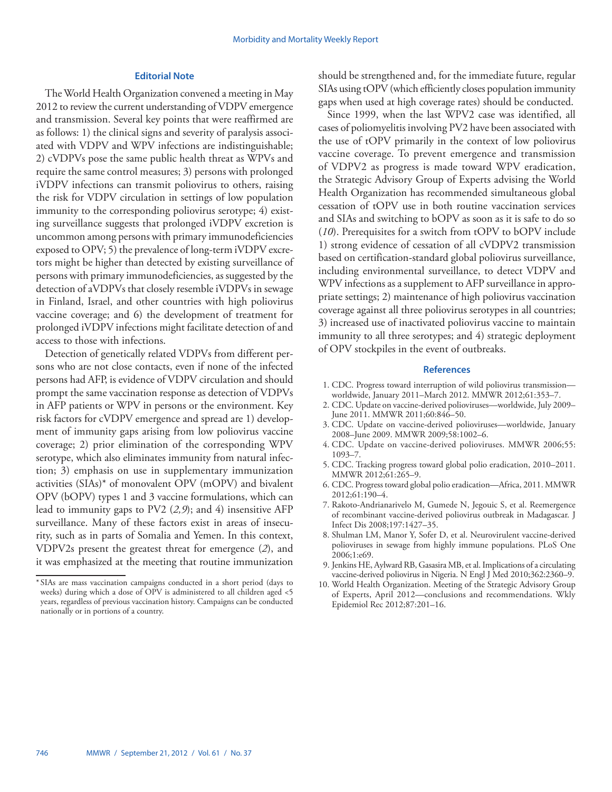## **Editorial Note**

The World Health Organization convened a meeting in May 2012 to review the current understanding of VDPV emergence and transmission. Several key points that were reaffirmed are as follows: 1) the clinical signs and severity of paralysis associated with VDPV and WPV infections are indistinguishable; 2) cVDPVs pose the same public health threat as WPVs and require the same control measures; 3) persons with prolonged iVDPV infections can transmit poliovirus to others, raising the risk for VDPV circulation in settings of low population immunity to the corresponding poliovirus serotype; 4) existing surveillance suggests that prolonged iVDPV excretion is uncommon among persons with primary immunodeficiencies exposed to OPV; 5) the prevalence of long-term iVDPV excretors might be higher than detected by existing surveillance of persons with primary immunodeficiencies, as suggested by the detection of aVDPVs that closely resemble iVDPVs in sewage in Finland, Israel, and other countries with high poliovirus vaccine coverage; and 6) the development of treatment for prolonged iVDPV infections might facilitate detection of and access to those with infections.

Detection of genetically related VDPVs from different persons who are not close contacts, even if none of the infected persons had AFP, is evidence of VDPV circulation and should prompt the same vaccination response as detection of VDPVs in AFP patients or WPV in persons or the environment. Key risk factors for cVDPV emergence and spread are 1) development of immunity gaps arising from low poliovirus vaccine coverage; 2) prior elimination of the corresponding WPV serotype, which also eliminates immunity from natural infection; 3) emphasis on use in supplementary immunization activities (SIAs)\* of monovalent OPV (mOPV) and bivalent OPV (bOPV) types 1 and 3 vaccine formulations, which can lead to immunity gaps to PV2 (*2,9*); and 4) insensitive AFP surveillance. Many of these factors exist in areas of insecurity, such as in parts of Somalia and Yemen. In this context, VDPV2s present the greatest threat for emergence (*2*), and it was emphasized at the meeting that routine immunization

should be strengthened and, for the immediate future, regular SIAs using tOPV (which efficiently closes population immunity gaps when used at high coverage rates) should be conducted.

Since 1999, when the last WPV2 case was identified, all cases of poliomyelitis involving PV2 have been associated with the use of tOPV primarily in the context of low poliovirus vaccine coverage. To prevent emergence and transmission of VDPV2 as progress is made toward WPV eradication, the Strategic Advisory Group of Experts advising the World Health Organization has recommended simultaneous global cessation of tOPV use in both routine vaccination services and SIAs and switching to bOPV as soon as it is safe to do so (*10*). Prerequisites for a switch from tOPV to bOPV include 1) strong evidence of cessation of all cVDPV2 transmission based on certification-standard global poliovirus surveillance, including environmental surveillance, to detect VDPV and WPV infections as a supplement to AFP surveillance in appropriate settings; 2) maintenance of high poliovirus vaccination coverage against all three poliovirus serotypes in all countries; 3) increased use of inactivated poliovirus vaccine to maintain immunity to all three serotypes; and 4) strategic deployment of OPV stockpiles in the event of outbreaks.

- 1. CDC. Progress toward interruption of wild poliovirus transmission worldwide, January 2011–March 2012. MMWR 2012;61:353–7.
- 2. CDC. Update on vaccine-derived polioviruses—worldwide, July 2009– June 2011. MMWR 2011;60:846–50.
- 3. CDC. Update on vaccine-derived polioviruses—worldwide, January 2008–June 2009. MMWR 2009;58:1002–6.
- 4. CDC. Update on vaccine-derived polioviruses. MMWR 2006;55: 1093–7.
- 5. CDC. Tracking progress toward global polio eradication, 2010–2011. MMWR 2012;61:265–9.
- 6. CDC. Progress toward global polio eradication—Africa, 2011. MMWR 2012;61:190–4.
- 7. Rakoto-Andrianarivelo M, Gumede N, Jegouic S, et al. Reemergence of recombinant vaccine-derived poliovirus outbreak in Madagascar. J Infect Dis 2008;197:1427–35.
- 8. Shulman LM, Manor Y, Sofer D, et al. Neurovirulent vaccine-derived polioviruses in sewage from highly immune populations. PLoS One 2006;1:e69.
- 9. Jenkins HE, Aylward RB, Gasasira MB, et al. Implications of a circulating vaccine-derived poliovirus in Nigeria. N Engl J Med 2010;362:2360–9.
- 10. World Health Organization. Meeting of the Strategic Advisory Group of Experts, April 2012—conclusions and recommendations. Wkly Epidemiol Rec 2012;87:201–16.

<sup>\*</sup> SIAs are mass vaccination campaigns conducted in a short period (days to weeks) during which a dose of OPV is administered to all children aged <5 years, regardless of previous vaccination history. Campaigns can be conducted nationally or in portions of a country.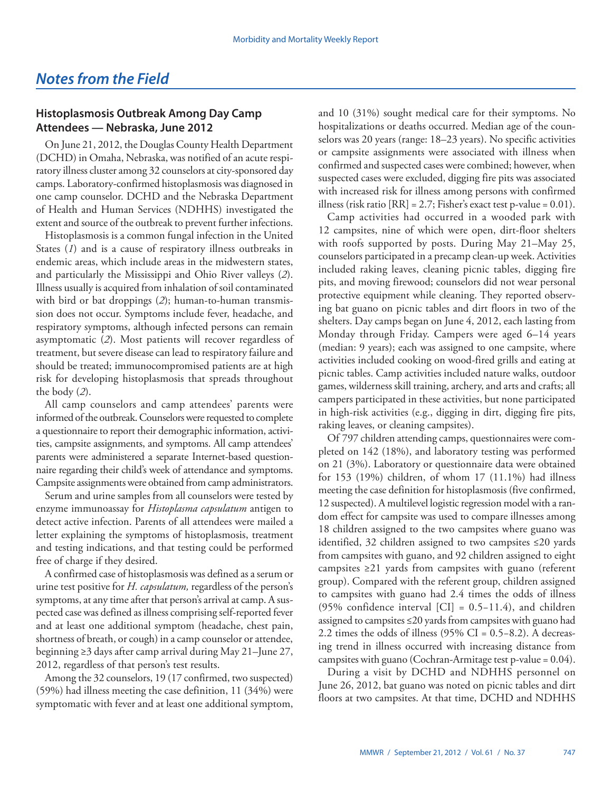## <span id="page-14-0"></span>**Histoplasmosis Outbreak Among Day Camp Attendees — Nebraska, June 2012**

On June 21, 2012, the Douglas County Health Department (DCHD) in Omaha, Nebraska, was notified of an acute respiratory illness cluster among 32 counselors at city-sponsored day camps. Laboratory-confirmed histoplasmosis was diagnosed in one camp counselor. DCHD and the Nebraska Department of Health and Human Services (NDHHS) investigated the extent and source of the outbreak to prevent further infections.

Histoplasmosis is a common fungal infection in the United States (*1*) and is a cause of respiratory illness outbreaks in endemic areas, which include areas in the midwestern states, and particularly the Mississippi and Ohio River valleys (*2*). Illness usually is acquired from inhalation of soil contaminated with bird or bat droppings (*2*); human-to-human transmission does not occur. Symptoms include fever, headache, and respiratory symptoms, although infected persons can remain asymptomatic (*2*). Most patients will recover regardless of treatment, but severe disease can lead to respiratory failure and should be treated; immunocompromised patients are at high risk for developing histoplasmosis that spreads throughout the body (*2*).

All camp counselors and camp attendees' parents were informed of the outbreak. Counselors were requested to complete a questionnaire to report their demographic information, activities, campsite assignments, and symptoms. All camp attendees' parents were administered a separate Internet-based questionnaire regarding their child's week of attendance and symptoms. Campsite assignments were obtained from camp administrators.

Serum and urine samples from all counselors were tested by enzyme immunoassay for *Histoplasma capsulatum* antigen to detect active infection. Parents of all attendees were mailed a letter explaining the symptoms of histoplasmosis, treatment and testing indications, and that testing could be performed free of charge if they desired.

A confirmed case of histoplasmosis was defined as a serum or urine test positive for *H. capsulatum,* regardless of the person's symptoms, at any time after that person's arrival at camp. A suspected case was defined as illness comprising self-reported fever and at least one additional symptom (headache, chest pain, shortness of breath, or cough) in a camp counselor or attendee, beginning ≥3 days after camp arrival during May 21–June 27, 2012, regardless of that person's test results.

Among the 32 counselors, 19 (17 confirmed, two suspected) (59%) had illness meeting the case definition, 11 (34%) were symptomatic with fever and at least one additional symptom, and 10 (31%) sought medical care for their symptoms. No hospitalizations or deaths occurred. Median age of the counselors was 20 years (range: 18–23 years). No specific activities or campsite assignments were associated with illness when confirmed and suspected cases were combined; however, when suspected cases were excluded, digging fire pits was associated with increased risk for illness among persons with confirmed illness (risk ratio  $[RR] = 2.7$ ; Fisher's exact test p-value = 0.01).

Camp activities had occurred in a wooded park with 12 campsites, nine of which were open, dirt-floor shelters with roofs supported by posts. During May 21–May 25, counselors participated in a precamp clean-up week. Activities included raking leaves, cleaning picnic tables, digging fire pits, and moving firewood; counselors did not wear personal protective equipment while cleaning. They reported observing bat guano on picnic tables and dirt floors in two of the shelters. Day camps began on June 4, 2012, each lasting from Monday through Friday. Campers were aged 6–14 years (median: 9 years); each was assigned to one campsite, where activities included cooking on wood-fired grills and eating at picnic tables. Camp activities included nature walks, outdoor games, wilderness skill training, archery, and arts and crafts; all campers participated in these activities, but none participated in high-risk activities (e.g., digging in dirt, digging fire pits, raking leaves, or cleaning campsites).

Of 797 children attending camps, questionnaires were completed on 142 (18%), and laboratory testing was performed on 21 (3%). Laboratory or questionnaire data were obtained for 153 (19%) children, of whom 17 (11.1%) had illness meeting the case definition for histoplasmosis (five confirmed, 12 suspected). A multilevel logistic regression model with a random effect for campsite was used to compare illnesses among 18 children assigned to the two campsites where guano was identified, 32 children assigned to two campsites ≤20 yards from campsites with guano, and 92 children assigned to eight campsites ≥21 yards from campsites with guano (referent group). Compared with the referent group, children assigned to campsites with guano had 2.4 times the odds of illness (95% confidence interval [CI] = 0.5−11.4), and children assigned to campsites ≤20 yards from campsites with guano had 2.2 times the odds of illness (95% CI = 0.5−8.2). A decreasing trend in illness occurred with increasing distance from campsites with guano (Cochran-Armitage test p-value = 0.04).

During a visit by DCHD and NDHHS personnel on June 26, 2012, bat guano was noted on picnic tables and dirt floors at two campsites. At that time, DCHD and NDHHS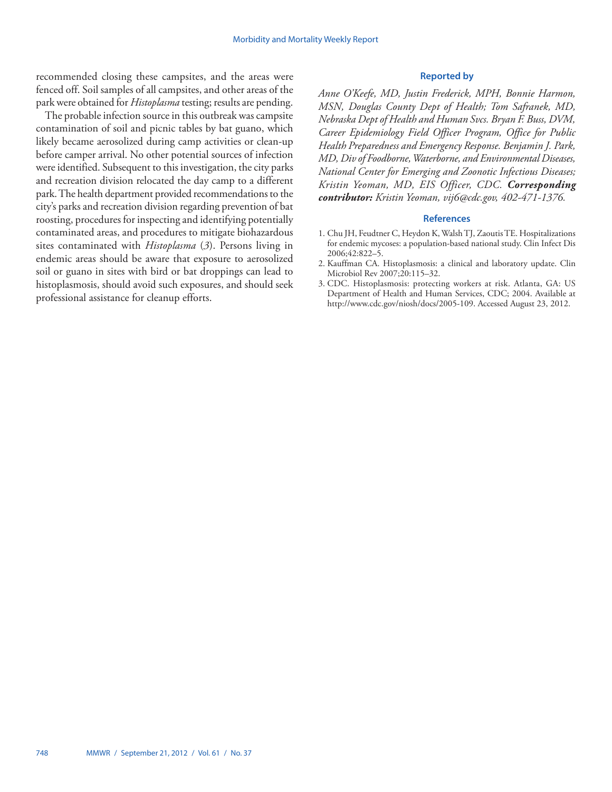recommended closing these campsites, and the areas were fenced off. Soil samples of all campsites, and other areas of the park were obtained for *Histoplasma* testing; results are pending.

The probable infection source in this outbreak was campsite contamination of soil and picnic tables by bat guano, which likely became aerosolized during camp activities or clean-up before camper arrival. No other potential sources of infection were identified. Subsequent to this investigation, the city parks and recreation division relocated the day camp to a different park. The health department provided recommendations to the city's parks and recreation division regarding prevention of bat roosting, procedures for inspecting and identifying potentially contaminated areas, and procedures to mitigate biohazardous sites contaminated with *Histoplasma* (*3*). Persons living in endemic areas should be aware that exposure to aerosolized soil or guano in sites with bird or bat droppings can lead to histoplasmosis, should avoid such exposures, and should seek professional assistance for cleanup efforts.

## **Reported by**

*Anne O'Keefe, MD, Justin Frederick, MPH, Bonnie Harmon, MSN, Douglas County Dept of Health; Tom Safranek, MD, Nebraska Dept of Health and Human Svcs. Bryan F. Buss, DVM, Career Epidemiology Field Officer Program, Office for Public Health Preparedness and Emergency Response. Benjamin J. Park, MD, Div of Foodborne, Waterborne, and Environmental Diseases, National Center for Emerging and Zoonotic Infectious Diseases; Kristin Yeoman, MD, EIS Officer, CDC. Corresponding contributor: Kristin Yeoman, vij6@cdc.gov, 402-471-1376.* 

- 1. Chu JH, Feudtner C, Heydon K, Walsh TJ, Zaoutis TE. Hospitalizations for endemic mycoses: a population-based national study. Clin Infect Dis 2006;42:822–5.
- 2. Kauffman CA. Histoplasmosis: a clinical and laboratory update. Clin Microbiol Rev 2007;20:115–32.
- 3. CDC. Histoplasmosis: protecting workers at risk. Atlanta, GA: US Department of Health and Human Services, CDC; 2004. Available at http://www.cdc.gov/niosh/docs/2005-109. Accessed August 23, 2012.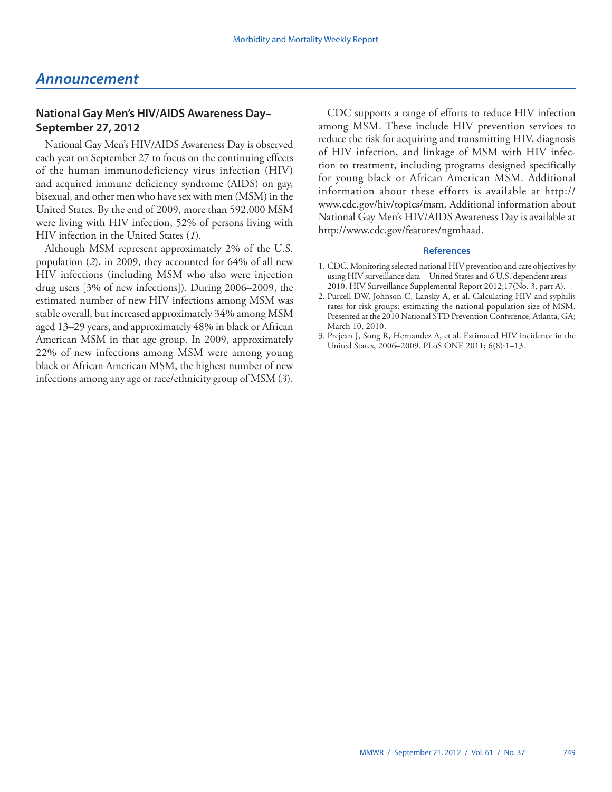## <span id="page-16-0"></span>*Announcement*

## **National Gay Men's HIV/AIDS Awareness Day– September 27, 2012**

National Gay Men's HIV/AIDS Awareness Day is observed each year on September 27 to focus on the continuing effects of the human immunodeficiency virus infection (HIV) and acquired immune deficiency syndrome (AIDS) on gay, bisexual, and other men who have sex with men (MSM) in the United States. By the end of 2009, more than 592,000 MSM were living with HIV infection, 52% of persons living with HIV infection in the United States (*1*).

Although MSM represent approximately 2% of the U.S. population (*2*), in 2009, they accounted for 64% of all new HIV infections (including MSM who also were injection drug users [3% of new infections]). During 2006–2009, the estimated number of new HIV infections among MSM was stable overall, but increased approximately 34% among MSM aged 13–29 years, and approximately 48% in black or African American MSM in that age group. In 2009, approximately 22% of new infections among MSM were among young black or African American MSM, the highest number of new infections among any age or race/ethnicity group of MSM (*3*).

CDC supports a range of efforts to reduce HIV infection among MSM. These include HIV prevention services to reduce the risk for acquiring and transmitting HIV, diagnosis of HIV infection, and linkage of MSM with HIV infection to treatment, including programs designed specifically for young black or African American MSM. Additional information about these efforts is available at http:// www.cdc.gov/hiv/topics/msm. Additional information about National Gay Men's HIV/AIDS Awareness Day is available at http://www.cdc.gov/features/ngmhaad.

- 1. CDC. Monitoring selected national HIV prevention and care objectives by using HIV surveillance data—United States and 6 U.S. dependent areas— 2010. HIV Surveillance Supplemental Report 2012;17(No. 3, part A).
- 2. Purcell DW, Johnson C, Lansky A, et al. Calculating HIV and syphilis rates for risk groups: estimating the national population size of MSM. Presented at the 2010 National STD Prevention Conference, Atlanta, GA; March 10, 2010.
- 3. Prejean J, Song R, Hernandez A, et al. Estimated HIV incidence in the United States, 2006–2009. PLoS ONE 2011; 6(8):1–13.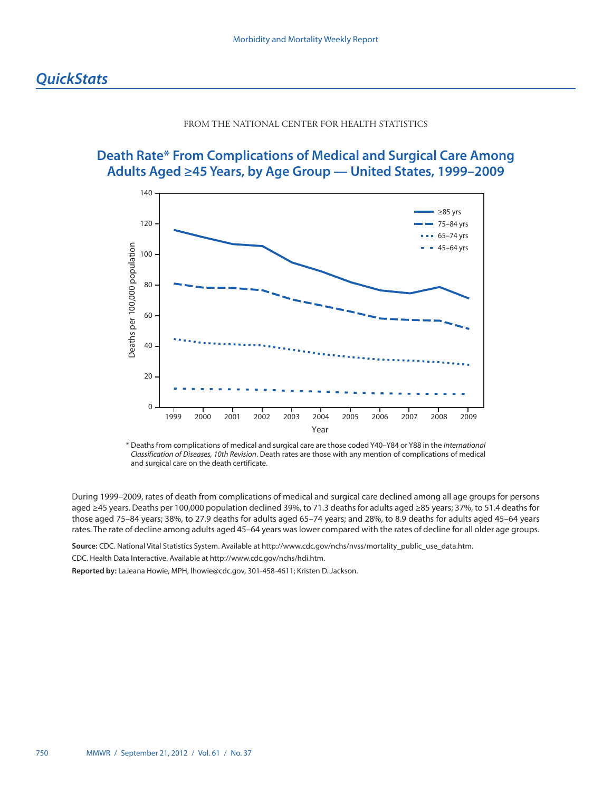## FROM THE NATIONAL CENTER FOR HEALTH STATISTICS

## <span id="page-17-0"></span>**Death Rate\* From Complications of Medical and Surgical Care Among Adults Aged ≥45 Years, by Age Group — United States, 1999–2009**



\* Deaths from complications of medical and surgical care are those coded Y40–Y84 or Y88 in the *International Classification of Diseases, 10th Revision*. Death rates are those with any mention of complications of medical and surgical care on the death certificate.

During 1999–2009, rates of death from complications of medical and surgical care declined among all age groups for persons aged ≥45 years. Deaths per 100,000 population declined 39%, to 71.3 deaths for adults aged ≥85 years; 37%, to 51.4 deaths for those aged 75–84 years; 38%, to 27.9 deaths for adults aged 65–74 years; and 28%, to 8.9 deaths for adults aged 45–64 years rates. The rate of decline among adults aged 45–64 years was lower compared with the rates of decline for all older age groups.

**Source:** CDC. National Vital Statistics System. Available at http://www.cdc.gov/nchs/nvss/mortality\_public\_use\_data.htm. CDC. Health Data Interactive. Available at http://www.cdc.gov/nchs/hdi.htm.

**Reported by:** LaJeana Howie, MPH, lhowie@cdc.gov, 301-458-4611; Kristen D. Jackson.